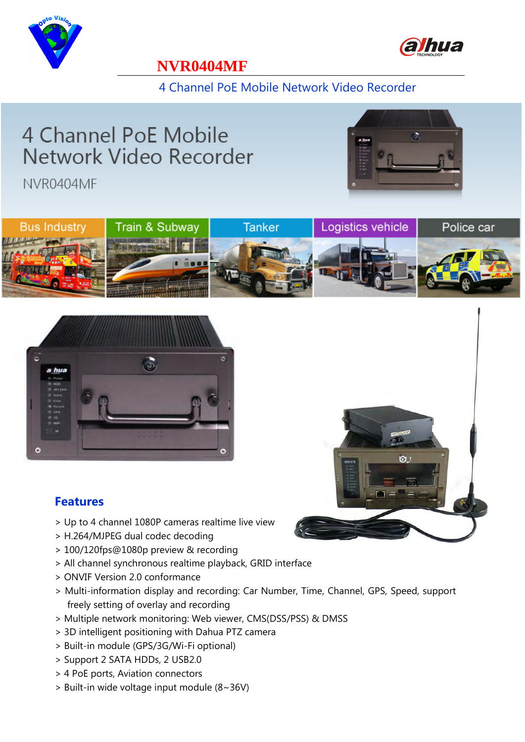



#### **NVR0404MF**

4 Channel PoE Mobile Network Video Recorder

# 4 Channel PoE Mobile Network Video Recorder

NVR0404MF







#### **Features**

- > Up to 4 channel 1080P cameras realtime live view
- > H.264/MJPEG dual codec decoding
- > 100/120fps@1080p preview & recording
- > All channel synchronous realtime playback, GRID interface
- > ONVIF Version 2.0 conformance
- > Multi-information display and recording: Car Number, Time, Channel, GPS, Speed, support freely setting of overlay and recording
- > Multiple network monitoring: Web viewer, CMS(DSS/PSS) & DMSS
- > 3D intelligent positioning with Dahua PTZ camera
- > Built-in module (GPS/3G/Wi-Fi optional)
- > Support 2 SATA HDDs, 2 USB2.0
- > 4 PoE ports, Aviation connectors
- > Built-in wide voltage input module (8~36V)

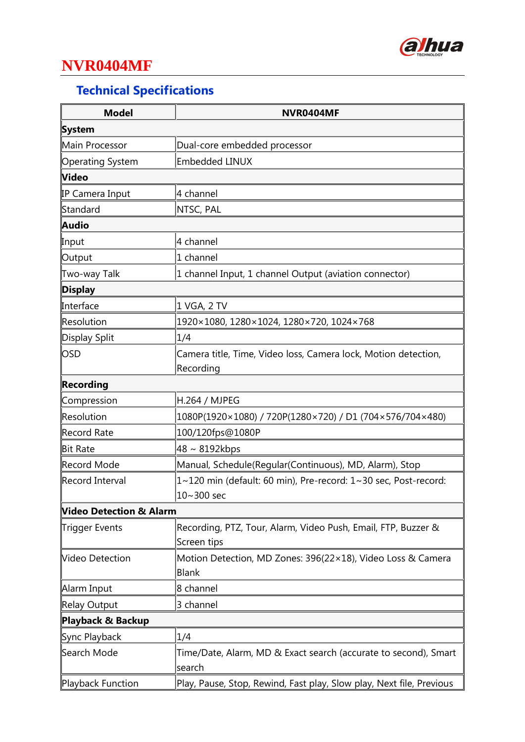

## **NVR0404MF**

## **Technical Specifications**

| <b>Model</b>            | NVR0404MF                                                            |
|-------------------------|----------------------------------------------------------------------|
| System                  |                                                                      |
| Main Processor          | Dual-core embedded processor                                         |
| Operating System        | Embedded LINUX                                                       |
| <b>Video</b>            |                                                                      |
| IP Camera Input         | 4 channel                                                            |
| Standard                | <b>NTSC, PAL</b>                                                     |
| Audio                   |                                                                      |
| Input                   | 4 channel                                                            |
| Output                  | 1 channel                                                            |
| Two-way Talk            | $\vert$ 1 channel Input, 1 channel Output (aviation connector)       |
| Display                 |                                                                      |
| Interface               | 1 VGA, 2 TV                                                          |
| Resolution              | 1920×1080, 1280×1024, 1280×720, 1024×768                             |
| Display Split           | 1/4                                                                  |
| OSD                     | Camera title, Time, Video loss, Camera lock, Motion detection,       |
|                         | Recording                                                            |
| Recording               |                                                                      |
| Compression             | H.264 / MJPEG                                                        |
| Resolution              | 1080P(1920×1080) / 720P(1280×720) / D1 (704×576/704×480)             |
| Record Rate             | 100/120fps@1080P                                                     |
| <b>Bit Rate</b>         | $48 \sim 8192$ kbps                                                  |
| Record Mode             | Manual, Schedule(Regular(Continuous), MD, Alarm), Stop               |
| Record Interval         | 1~120 min (default: 60 min), Pre-record: 1~30 sec, Post-record:      |
|                         | ∥10~300 sec                                                          |
| Video Detection & Alarm |                                                                      |
| Trigger Events          | Recording, PTZ, Tour, Alarm, Video Push, Email, FTP, Buzzer &        |
|                         | Screen tips                                                          |
| Video Detection         | Motion Detection, MD Zones: 396(22×18), Video Loss & Camera          |
|                         | Blank                                                                |
| Alarm Input             | 8 channel                                                            |
| Relay Output            | 3 channel                                                            |
| Playback & Backup       |                                                                      |
| Sync Playback           | 1/4                                                                  |
| Search Mode             | Time/Date, Alarm, MD & Exact search (accurate to second), Smart      |
|                         | search                                                               |
| Playback Function       | Play, Pause, Stop, Rewind, Fast play, Slow play, Next file, Previous |